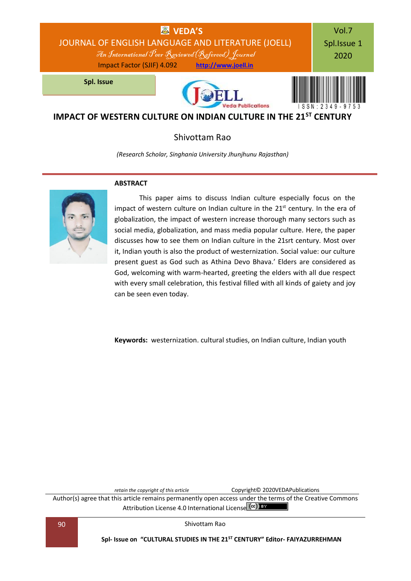

# **IMPACT OF WESTERN CULTURE ON INDIAN CULTURE IN THE 21ST CENTURY**

### Shivottam Rao

*(Research Scholar, Singhania University Jhunjhunu Rajasthan)*

### **ABSTRACT**



This paper aims to discuss Indian culture especially focus on the impact of western culture on Indian culture in the  $21<sup>st</sup>$  century. In the era of globalization, the impact of western increase thorough many sectors such as social media, globalization, and mass media popular culture. Here, the paper discusses how to see them on Indian culture in the 21srt century. Most over it, Indian youth is also the product of westernization. Social value: our culture present guest as God such as Athina Devo Bhava.' Elders are considered as God, welcoming with warm-hearted, greeting the elders with all due respect with every small celebration, this festival filled with all kinds of gaiety and joy can be seen even today.

**Keywords:** westernization. cultural studies, on Indian culture, Indian youth

*retain the copyright of this article* Copyright© 2020VEDAPublications

Author(s) agree that this article remains permanently open access under the terms of the Creative Commons Attribution Lic[e](http://creativecommons.org/licenses/by/4.0/)nse 4.0 International License (CC) BY

90 Shivottam Rao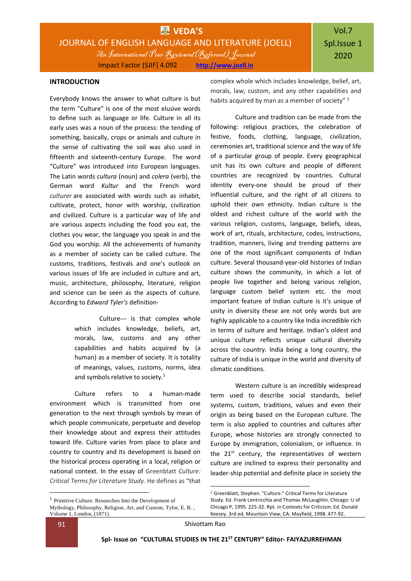#### **INTRODUCTION**

Everybody knows the answer to what culture is but the term "Culture" is one of the most elusive words to define such as language or life. Culture in all its early uses was a noun of the process: the tending of something, basically, crops or animals and culture in the sense of cultivating the soil was also used in fifteenth and sixteenth-century Europe. The word "Culture" was introduced into European languages. The Latin words *cultura* (noun) and *colera* (verb), the German word *Kultur* and the French word *culturer* are associated with words such as inhabit, cultivate, protect, honor with worship, civilization and civilized. Culture is a particular way of life and are various aspects including the food you eat, the clothes you wear, the language you speak in and the God you worship. All the achievements of humanity as a member of society can be called culture. The customs, traditions, festivals and one's outlook on various issues of life are included in culture and art, music, architecture, philosophy, literature, religion and science can be seen as the aspects of culture. According to *Edward Tyler's* definition-

> Culture--- is that complex whole which includes knowledge, beliefs, art, morals, law, customs and any other capabilities and habits acquired by (a human) as a member of society. It is totality of meanings, values, customs, norms, idea and symbols relative to society.<sup>1</sup>

Culture refers to a human-made environment which is transmitted from one generation to the next through symbols by mean of which people communicate, perpetuate and develop their knowledge about and express their attitudes toward life. Culture varies from place to place and country to country and its development is based on the historical process operating in a local, religion or national context. In the essay of Greenblatt *Culture: Critical Terms for Literature Study*. He defines as "that

complex whole which includes knowledge, belief, art, morals, law, custom, and any other capabilities and habits acquired by man as a member of society"<sup>2</sup>

Culture and tradition can be made from the following: religious practices, the celebration of festive, foods, clothing, language, civilization, ceremonies art, traditional science and the way of life of a particular group of people. Every geographical unit has its own culture and people of different countries are recognized by countries. Cultural identity every-one should be proud of their influential culture, and the right of all citizens to uphold their own ethnicity. Indian culture is the oldest and richest culture of the world with the various religion, customs, language, beliefs, ideas, work of art, rituals, architecture, codes, instructions, tradition, manners, living and trending patterns are one of the most significant components of Indian culture. Several thousand-year-old histories of Indian culture shows the community, in which a lot of people live together and belong various religion, language custom belief system etc. the most important feature of Indian culture is it's unique of unity in diversity these are not only words but are highly applicable to a country like India incredible rich in terms of culture and heritage. Indian's oldest and unique culture reflects unique cultural diversity across the country. India being a long country, the culture of India is unique in the world and diversity of climatic conditions.

Western culture is an incredibly widespread term used to describe social standards, belief systems, custom, traditions, values and even their origin as being based on the European culture. The term is also applied to countries and cultures after Europe, whose histories are strongly connected to Europe by immigration, colonialism, or influence. In the 21<sup>st</sup> century, the representatives of western culture are inclined to express their personality and leader-ship potential and definite place in society the

1

1

<sup>1</sup> [Primitive Culture: Researches Into the Development of](https://carta.anthropogeny.org/libraries/bibliography/primitive-culture-researches-development-mythology-philosophy-religion-art)  [Mythology, Philosophy, Religion, Art, and Custom,](https://carta.anthropogeny.org/libraries/bibliography/primitive-culture-researches-development-mythology-philosophy-religion-art) Tylor, E. B. , Volume 1, London, (1871)

<sup>2</sup> Greenblatt, Stephen. "Culture." Critical Terms for Literature Study. Ed. Frank Lentricchia and Thomas McLaughlin. Chicago: U of Chicago P, 1995. 225-32. Rpt. in Contexts for Criticism. Ed. Donald Keesey. 3rd ed. Mountain View, CA: Mayfield, 1998. 477-92.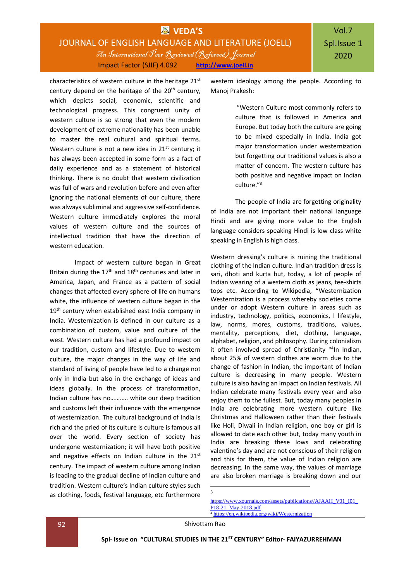characteristics of western culture in the heritage 21<sup>st</sup> century depend on the heritage of the  $20<sup>th</sup>$  century, which depicts social, economic, scientific and technological progress. This congruent unity of western culture is so strong that even the modern development of extreme nationality has been unable to master the real cultural and spiritual terms. Western culture is not a new idea in 21<sup>st</sup> century; it has always been accepted in some form as a fact of daily experience and as a statement of historical thinking. There is no doubt that western civilization was full of wars and revolution before and even after ignoring the national elements of our culture, there was always subliminal and aggressive self-confidence. Western culture immediately explores the moral values of western culture and the sources of intellectual tradition that have the direction of western education.

Impact of western culture began in Great Britain during the 17<sup>th</sup> and 18<sup>th</sup> centuries and later in America, Japan, and France as a pattern of social changes that affected every sphere of life on humans white, the influence of western culture began in the  $19<sup>th</sup>$  century when established east India company in India. Westernization is defined in our culture as a combination of custom, value and culture of the west. Western culture has had a profound impact on our tradition, custom and lifestyle. Due to western culture, the major changes in the way of life and standard of living of people have led to a change not only in India but also in the exchange of ideas and ideas globally. In the process of transformation, Indian culture has no……….. white our deep tradition and customs left their influence with the emergence of westernization. The cultural background of India is rich and the pried of its culture is culture is famous all over the world. Every section of society has undergone westernization; it will have both positive and negative effects on Indian culture in the 21<sup>st</sup> century. The impact of western culture among Indian is leading to the gradual decline of Indian culture and tradition. Western culture's Indian culture styles such as clothing, foods, festival language, etc furthermore

western ideology among the people. According to Manoj Prakesh:

> "Western Culture most commonly refers to culture that is followed in America and Europe. But today both the culture are going to be mixed especially in India. India got major transformation under westernization but forgetting our traditional values is also a matter of concern. The western culture has both positive and negative impact on Indian culture."<sup>3</sup>

The people of India are forgetting originality of India are not important their national language Hindi and are giving more value to the English language considers speaking Hindi is low class white speaking in English is high class.

Western dressing's culture is ruining the traditional clothing of the Indian culture. Indian tradition dress is sari, dhoti and kurta but, today, a lot of people of Indian wearing of a western cloth as jeans, tee-shirts tops etc. According to Wikipedia, "Westernization Westernization is a process whereby societies come under or adopt Western culture in areas such as industry, technology, politics, economics, l lifestyle, law, norms, mores, customs, traditions, values, mentality, perceptions, diet, clothing, language, alphabet, religion, and philosophy. During colonialism it often involved spread of Christianity "<sup>4</sup>In Indian, about 25% of western clothes are worm due to the change of fashion in Indian, the important of Indian culture is decreasing in many people. Western culture is also having an impact on Indian festivals. All Indian celebrate many festivals every year and also enjoy them to the fullest. But, today many peoples in India are celebrating more western culture like Christmas and Halloween rather than their festivals like Holi, Diwali in Indian religion, one boy or girl is allowed to date each other but, today many youth in India are breaking these lows and celebrating valentine's day and are not conscious of their religion and this for them, the value of Indian religion are decreasing. In the same way, the values of marriage are also broken marriage is breaking down and our

1 3

92 Shivottam Rao

[https://www.xournals.com/assets/publications//AJAAH\\_V01\\_I01\\_](https://www.xournals.com/assets/publications/AJAAH_V01_I01_P18-21_May-2018.pdf) [P18-21\\_May-2018.pdf](https://www.xournals.com/assets/publications/AJAAH_V01_I01_P18-21_May-2018.pdf) <sup>4</sup> <https://en.wikipedia.org/wiki/Westernization>